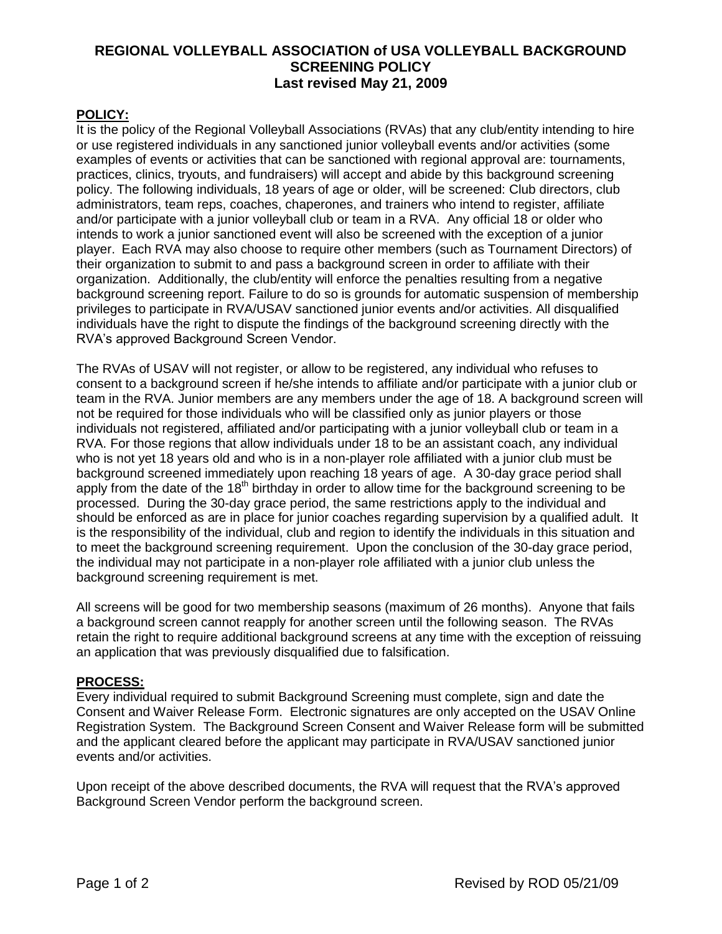# **REGIONAL VOLLEYBALL ASSOCIATION of USA VOLLEYBALL BACKGROUND SCREENING POLICY Last revised May 21, 2009**

## **POLICY:**

It is the policy of the Regional Volleyball Associations (RVAs) that any club/entity intending to hire or use registered individuals in any sanctioned junior volleyball events and/or activities (some examples of events or activities that can be sanctioned with regional approval are: tournaments, practices, clinics, tryouts, and fundraisers) will accept and abide by this background screening policy. The following individuals, 18 years of age or older, will be screened: Club directors, club administrators, team reps, coaches, chaperones, and trainers who intend to register, affiliate and/or participate with a junior volleyball club or team in a RVA. Any official 18 or older who intends to work a junior sanctioned event will also be screened with the exception of a junior player. Each RVA may also choose to require other members (such as Tournament Directors) of their organization to submit to and pass a background screen in order to affiliate with their organization. Additionally, the club/entity will enforce the penalties resulting from a negative background screening report. Failure to do so is grounds for automatic suspension of membership privileges to participate in RVA/USAV sanctioned junior events and/or activities. All disqualified individuals have the right to dispute the findings of the background screening directly with the RVA's approved Background Screen Vendor.

The RVAs of USAV will not register, or allow to be registered, any individual who refuses to consent to a background screen if he/she intends to affiliate and/or participate with a junior club or team in the RVA. Junior members are any members under the age of 18. A background screen will not be required for those individuals who will be classified only as junior players or those individuals not registered, affiliated and/or participating with a junior volleyball club or team in a RVA. For those regions that allow individuals under 18 to be an assistant coach, any individual who is not yet 18 years old and who is in a non-player role affiliated with a junior club must be background screened immediately upon reaching 18 years of age. A 30-day grace period shall apply from the date of the 18<sup>th</sup> birthday in order to allow time for the background screening to be processed. During the 30-day grace period, the same restrictions apply to the individual and should be enforced as are in place for junior coaches regarding supervision by a qualified adult. It is the responsibility of the individual, club and region to identify the individuals in this situation and to meet the background screening requirement. Upon the conclusion of the 30-day grace period, the individual may not participate in a non-player role affiliated with a junior club unless the background screening requirement is met.

All screens will be good for two membership seasons (maximum of 26 months). Anyone that fails a background screen cannot reapply for another screen until the following season. The RVAs retain the right to require additional background screens at any time with the exception of reissuing an application that was previously disqualified due to falsification.

## **PROCESS:**

Every individual required to submit Background Screening must complete, sign and date the Consent and Waiver Release Form. Electronic signatures are only accepted on the USAV Online Registration System. The Background Screen Consent and Waiver Release form will be submitted and the applicant cleared before the applicant may participate in RVA/USAV sanctioned junior events and/or activities.

Upon receipt of the above described documents, the RVA will request that the RVA's approved Background Screen Vendor perform the background screen.